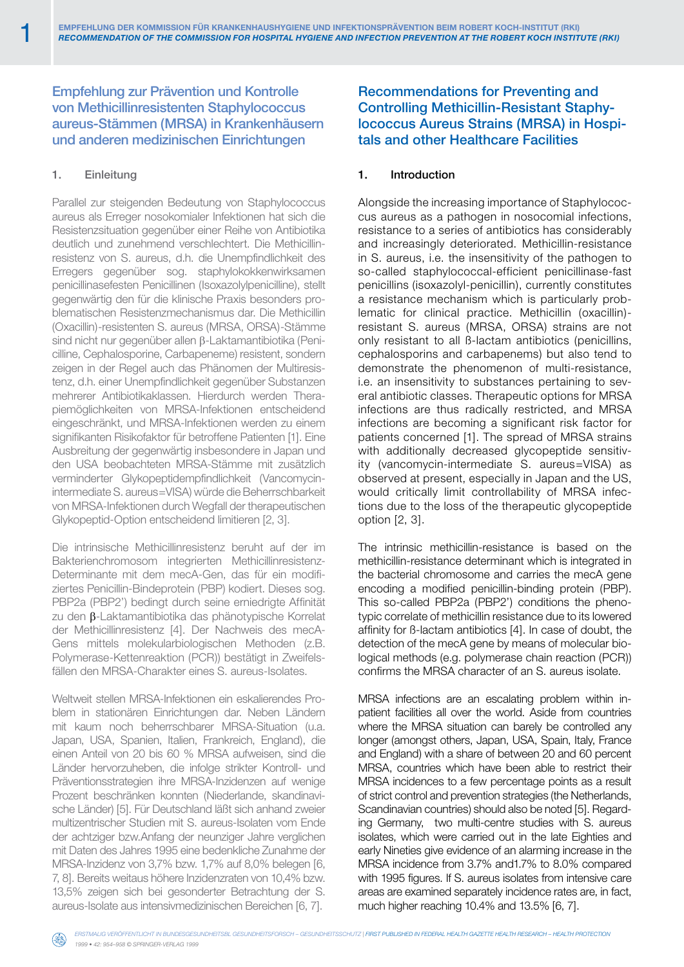# Empfehlung zur Prävention und Kontrolle von Methicillinresistenten Staphylococcus aureus-Stämmen (MRSA) in Krankenhäusern und anderen medizinischen Einrichtungen

# 1. Einleitung

Parallel zur steigenden Bedeutung von Staphylococcus aureus als Erreger nosokomialer Infektionen hat sich die Resistenzsituation gegenüber einer Reihe von Antibiotika deutlich und zunehmend verschlechtert. Die Methicillinresistenz von S. aureus, d.h. die Unempfindlichkeit des Erregers gegenüber sog. staphylokokkenwirksamen penicillinasefesten Penicillinen (Isoxazolylpenicilline), stellt gegenwärtig den für die klinische Praxis besonders problematischen Resistenzmechanismus dar. Die Methicillin (Oxacillin)-resistenten S. aureus (MRSA, ORSA)-Stämme sind nicht nur gegenüber allen β-Laktamantibiotika (Penicilline, Cephalosporine, Carbapeneme) resistent, sondern zeigen in der Regel auch das Phänomen der Multiresistenz, d.h. einer Unempfindlichkeit gegenüber Substanzen mehrerer Antibiotikaklassen. Hierdurch werden Therapiemöglichkeiten von MRSA-Infektionen entscheidend eingeschränkt, und MRSA-Infektionen werden zu einem signifikanten Risikofaktor für betroffene Patienten [1]. Eine Ausbreitung der gegenwärtig insbesondere in Japan und den USA beobachteten MRSA-Stämme mit zusätzlich verminderter Glykopeptidempfindlichkeit (Vancomycinintermediate S. aureus=VISA) würde die Beherrschbarkeit von MRSA-Infektionen durch Wegfall der therapeutischen Glykopeptid-Option entscheidend limitieren [2, 3].

Die intrinsische Methicillinresistenz beruht auf der im Bakterienchromosom integrierten Methicillinresistenz-Determinante mit dem mecA-Gen, das für ein modifiziertes Penicillin-Bindeprotein (PBP) kodiert. Dieses sog. PBP2a (PBP2') bedingt durch seine erniedrigte Affinität zu den β-Laktamantibiotika das phänotypische Korrelat der Methicillinresistenz [4]. Der Nachweis des mecA-Gens mittels molekularbiologischen Methoden (z.B. Polymerase-Kettenreaktion (PCR)) bestätigt in Zweifelsfällen den MRSA-Charakter eines S. aureus-Isolates.

Weltweit stellen MRSA-Infektionen ein eskalierendes Problem in stationären Einrichtungen dar. Neben Ländern mit kaum noch beherrschbarer MRSA-Situation (u.a. Japan, USA, Spanien, Italien, Frankreich, England), die einen Anteil von 20 bis 60 % MRSA aufweisen, sind die Länder hervorzuheben, die infolge strikter Kontroll- und Präventionsstrategien ihre MRSA-Inzidenzen auf wenige Prozent beschränken konnten (Niederlande, skandinavische Länder) [5]. Für Deutschland läßt sich anhand zweier multizentrischer Studien mit S. aureus-Isolaten vom Ende der achtziger bzw.Anfang der neunziger Jahre verglichen mit Daten des Jahres 1995 eine bedenkliche Zunahme der MRSA-Inzidenz von 3,7% bzw. 1,7% auf 8,0% belegen [6, 7, 8]. Bereits weitaus höhere Inzidenzraten von 10,4% bzw. 13,5% zeigen sich bei gesonderter Betrachtung der S. aureus-Isolate aus intensivmedizinischen Bereichen [6, 7].

Recommendations for Preventing and Controlling Methicillin-Resistant Staphylococcus Aureus Strains (MRSA) in Hospitals and other Healthcare Facilities

## 1. Introduction

Alongside the increasing importance of Staphylococcus aureus as a pathogen in nosocomial infections, resistance to a series of antibiotics has considerably and increasingly deteriorated. Methicillin-resistance in S. aureus, i.e. the insensitivity of the pathogen to so-called staphylococcal-efficient penicillinase-fast penicillins (isoxazolyl-penicillin), currently constitutes a resistance mechanism which is particularly problematic for clinical practice. Methicillin (oxacillin) resistant S. aureus (MRSA, ORSA) strains are not only resistant to all ß-lactam antibiotics (penicillins, cephalosporins and carbapenems) but also tend to demonstrate the phenomenon of multi-resistance, i.e. an insensitivity to substances pertaining to several antibiotic classes. Therapeutic options for MRSA infections are thus radically restricted, and MRSA infections are becoming a significant risk factor for patients concerned [1]. The spread of MRSA strains with additionally decreased glycopeptide sensitivity (vancomycin-intermediate S. aureus=VISA) as observed at present, especially in Japan and the US, would critically limit controllability of MRSA infections due to the loss of the therapeutic glycopeptide option [2, 3].

The intrinsic methicillin-resistance is based on the methicillin-resistance determinant which is integrated in the bacterial chromosome and carries the mecA gene encoding a modified penicillin-binding protein (PBP). This so-called PBP2a (PBP2') conditions the phenotypic correlate of methicillin resistance due to its lowered affinity for ß-lactam antibiotics [4]. In case of doubt, the detection of the mecA gene by means of molecular biological methods (e.g. polymerase chain reaction (PCR)) confirms the MRSA character of an S. aureus isolate.

MRSA infections are an escalating problem within inpatient facilities all over the world. Aside from countries where the MRSA situation can barely be controlled any longer (amongst others, Japan, USA, Spain, Italy, France and England) with a share of between 20 and 60 percent MRSA, countries which have been able to restrict their MRSA incidences to a few percentage points as a result of strict control and prevention strategies (the Netherlands, Scandinavian countries) should also be noted [5]. Regarding Germany, two multi-centre studies with S. aureus isolates, which were carried out in the late Eighties and early Nineties give evidence of an alarming increase in the MRSA incidence from 3.7% and1.7% to 8.0% compared with 1995 figures. If S. aureus isolates from intensive care areas are examined separately incidence rates are, in fact, much higher reaching 10.4% and 13.5% [6, 7].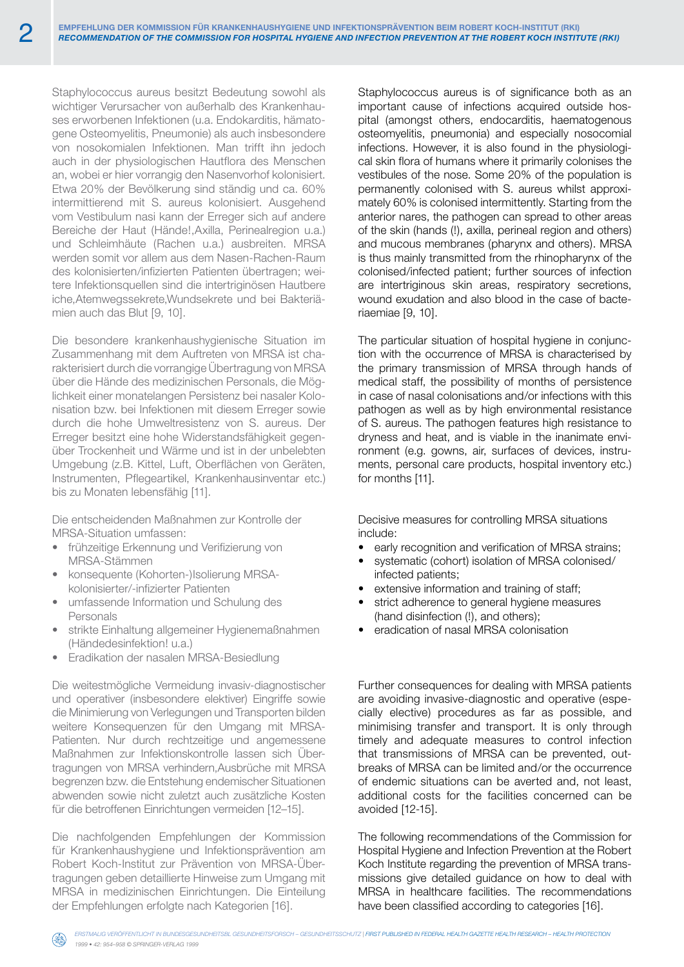Staphylococcus aureus besitzt Bedeutung sowohl als wichtiger Verursacher von außerhalb des Krankenhauses erworbenen Infektionen (u.a. Endokarditis, hämatogene Osteomyelitis, Pneumonie) als auch insbesondere von nosokomialen Infektionen. Man trifft ihn jedoch auch in der physiologischen Hautflora des Menschen an, wobei er hier vorrangig den Nasenvorhof kolonisiert. Etwa 20% der Bevölkerung sind ständig und ca. 60% intermittierend mit S. aureus kolonisiert. Ausgehend vom Vestibulum nasi kann der Erreger sich auf andere Bereiche der Haut (Hände!,Axilla, Perinealregion u.a.) und Schleimhäute (Rachen u.a.) ausbreiten. MRSA werden somit vor allem aus dem Nasen-Rachen-Raum des kolonisierten/infizierten Patienten übertragen; weitere Infektionsquellen sind die intertriginösen Hautbere iche,Atemwegssekrete,Wundsekrete und bei Bakteriämien auch das Blut [9, 10].

Die besondere krankenhaushygienische Situation im Zusammenhang mit dem Auftreten von MRSA ist charakterisiert durch die vorrangige Übertragung von MRSA über die Hände des medizinischen Personals, die Möglichkeit einer monatelangen Persistenz bei nasaler Kolonisation bzw. bei Infektionen mit diesem Erreger sowie durch die hohe Umweltresistenz von S. aureus. Der Erreger besitzt eine hohe Widerstandsfähigkeit gegenüber Trockenheit und Wärme und ist in der unbelebten Umgebung (z.B. Kittel, Luft, Oberflächen von Geräten, Instrumenten, Pflegeartikel, Krankenhausinventar etc.) bis zu Monaten lebensfähig [11].

Die entscheidenden Maßnahmen zur Kontrolle der MRSA-Situation umfassen:

- • frühzeitige Erkennung und Verifizierung von MRSA-Stämmen
- konsequente (Kohorten-)Isolierung MRSAkolonisierter/-infizierter Patienten
- umfassende Information und Schulung des Personals
- strikte Einhaltung allgemeiner Hygienemaßnahmen (Händedesinfektion! u.a.)
- Eradikation der nasalen MRSA-Besiedlung

Die weitestmögliche Vermeidung invasiv-diagnostischer und operativer (insbesondere elektiver) Eingriffe sowie die Minimierung von Verlegungen und Transporten bilden weitere Konsequenzen für den Umgang mit MRSA-Patienten. Nur durch rechtzeitige und angemessene Maßnahmen zur Infektionskontrolle lassen sich Übertragungen von MRSA verhindern,Ausbrüche mit MRSA begrenzen bzw. die Entstehung endemischer Situationen abwenden sowie nicht zuletzt auch zusätzliche Kosten für die betroffenen Einrichtungen vermeiden [12–15].

Die nachfolgenden Empfehlungen der Kommission für Krankenhaushygiene und Infektionsprävention am Robert Koch-Institut zur Prävention von MRSA-Übertragungen geben detaillierte Hinweise zum Umgang mit MRSA in medizinischen Einrichtungen. Die Einteilung der Empfehlungen erfolgte nach Kategorien [16].

Staphylococcus aureus is of significance both as an important cause of infections acquired outside hospital (amongst others, endocarditis, haematogenous osteomyelitis, pneumonia) and especially nosocomial infections. However, it is also found in the physiological skin flora of humans where it primarily colonises the vestibules of the nose. Some 20% of the population is permanently colonised with S. aureus whilst approximately 60% is colonised intermittently. Starting from the anterior nares, the pathogen can spread to other areas of the skin (hands (!), axilla, perineal region and others) and mucous membranes (pharynx and others). MRSA is thus mainly transmitted from the rhinopharynx of the colonised/infected patient; further sources of infection are intertriginous skin areas, respiratory secretions, wound exudation and also blood in the case of bacteriaemiae [9, 10].

The particular situation of hospital hygiene in conjunction with the occurrence of MRSA is characterised by the primary transmission of MRSA through hands of medical staff, the possibility of months of persistence in case of nasal colonisations and/or infections with this pathogen as well as by high environmental resistance of S. aureus. The pathogen features high resistance to dryness and heat, and is viable in the inanimate environment (e.g. gowns, air, surfaces of devices, instruments, personal care products, hospital inventory etc.) for months [11].

Decisive measures for controlling MRSA situations include:

- early recognition and verification of MRSA strains:
- systematic (cohort) isolation of MRSA colonised/ infected patients;
- extensive information and training of staff;
- strict adherence to general hygiene measures (hand disinfection (!), and others);
- eradication of nasal MRSA colonisation

Further consequences for dealing with MRSA patients are avoiding invasive-diagnostic and operative (especially elective) procedures as far as possible, and minimising transfer and transport. It is only through timely and adequate measures to control infection that transmissions of MRSA can be prevented, outbreaks of MRSA can be limited and/or the occurrence of endemic situations can be averted and, not least, additional costs for the facilities concerned can be avoided [12-15].

The following recommendations of the Commission for Hospital Hygiene and Infection Prevention at the Robert Koch Institute regarding the prevention of MRSA transmissions give detailed guidance on how to deal with MRSA in healthcare facilities. The recommendations have been classified according to categories [16].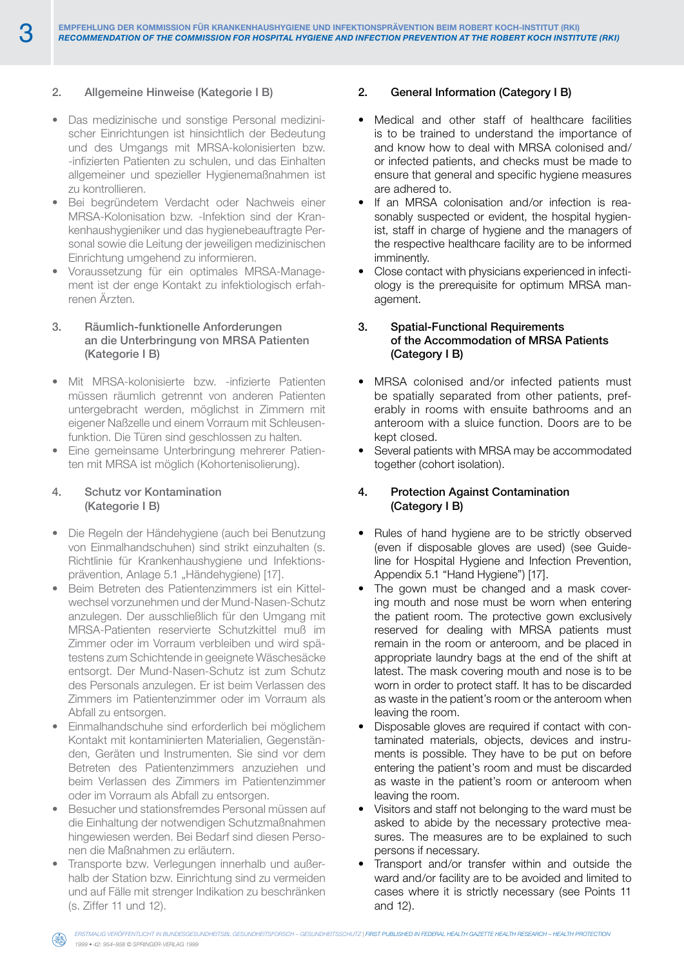## 2. Allgemeine Hinweise (Kategorie I B)

- Das medizinische und sonstige Personal medizinischer Einrichtungen ist hinsichtlich der Bedeutung und des Umgangs mit MRSA-kolonisierten bzw. -infizierten Patienten zu schulen, und das Einhalten allgemeiner und spezieller Hygienemaßnahmen ist zu kontrollieren.
- Bei begründetem Verdacht oder Nachweis einer MRSA-Kolonisation bzw. -Infektion sind der Krankenhaushygieniker und das hygienebeauftragte Personal sowie die Leitung der jeweiligen medizinischen Einrichtung umgehend zu informieren.
- Voraussetzung für ein optimales MRSA-Management ist der enge Kontakt zu infektiologisch erfahrenen Ärzten.

## 3. Räumlich-funktionelle Anforderungen an die Unterbringung von MRSA Patienten (Kategorie I B)

- • Mit MRSA-kolonisierte bzw. -infizierte Patienten müssen räumlich getrennt von anderen Patienten untergebracht werden, möglichst in Zimmern mit eigener Naßzelle und einem Vorraum mit Schleusenfunktion. Die Türen sind geschlossen zu halten.
- Eine gemeinsame Unterbringung mehrerer Patienten mit MRSA ist möglich (Kohortenisolierung).

#### 4. Schutz vor Kontamination (Kategorie I B)

- • Die Regeln der Händehygiene (auch bei Benutzung von Einmalhandschuhen) sind strikt einzuhalten (s. Richtlinie für Krankenhaushygiene und Infektionsprävention, Anlage 5.1 "Händehygiene) [17].
- • Beim Betreten des Patientenzimmers ist ein Kittelwechsel vorzunehmen und der Mund-Nasen-Schutz anzulegen. Der ausschließlich für den Umgang mit MRSA-Patienten reservierte Schutzkittel muß im Zimmer oder im Vorraum verbleiben und wird spätestens zum Schichtende in geeignete Wäschesäcke entsorgt. Der Mund-Nasen-Schutz ist zum Schutz des Personals anzulegen. Er ist beim Verlassen des Zimmers im Patientenzimmer oder im Vorraum als Abfall zu entsorgen.
- Einmalhandschuhe sind erforderlich bei möglichem Kontakt mit kontaminierten Materialien, Gegenständen, Geräten und Instrumenten. Sie sind vor dem Betreten des Patientenzimmers anzuziehen und beim Verlassen des Zimmers im Patientenzimmer oder im Vorraum als Abfall zu entsorgen.
- Besucher und stationsfremdes Personal müssen auf die Einhaltung der notwendigen Schutzmaßnahmen hingewiesen werden. Bei Bedarf sind diesen Personen die Maßnahmen zu erläutern.
- Transporte bzw. Verlegungen innerhalb und außerhalb der Station bzw. Einrichtung sind zu vermeiden und auf Fälle mit strenger Indikation zu beschränken (s. Ziffer 11 und 12).

## 2. General Information (Category I B)

- • Medical and other staff of healthcare facilities is to be trained to understand the importance of and know how to deal with MRSA colonised and/ or infected patients, and checks must be made to ensure that general and specific hygiene measures are adhered to.
- If an MRSA colonisation and/or infection is reasonably suspected or evident, the hospital hygienist, staff in charge of hygiene and the managers of the respective healthcare facility are to be informed imminently.
- Close contact with physicians experienced in infectiology is the prerequisite for optimum MRSA management.

## 3. Spatial-Functional Requirements of the Accommodation of MRSA Patients (Category I B)

- MRSA colonised and/or infected patients must be spatially separated from other patients, preferably in rooms with ensuite bathrooms and an anteroom with a sluice function. Doors are to be kept closed.
- Several patients with MRSA may be accommodated together (cohort isolation).

## 4. Protection Against Contamination (Category I B)

- Rules of hand hygiene are to be strictly observed (even if disposable gloves are used) (see Guideline for Hospital Hygiene and Infection Prevention, Appendix 5.1 "Hand Hygiene") [17].
- The gown must be changed and a mask covering mouth and nose must be worn when entering the patient room. The protective gown exclusively reserved for dealing with MRSA patients must remain in the room or anteroom, and be placed in appropriate laundry bags at the end of the shift at latest. The mask covering mouth and nose is to be worn in order to protect staff. It has to be discarded as waste in the patient's room or the anteroom when leaving the room.
- Disposable gloves are required if contact with contaminated materials, objects, devices and instruments is possible. They have to be put on before entering the patient's room and must be discarded as waste in the patient's room or anteroom when leaving the room.
- Visitors and staff not belonging to the ward must be asked to abide by the necessary protective measures. The measures are to be explained to such persons if necessary.
- Transport and/or transfer within and outside the ward and/or facility are to be avoided and limited to cases where it is strictly necessary (see Points 11 and 12).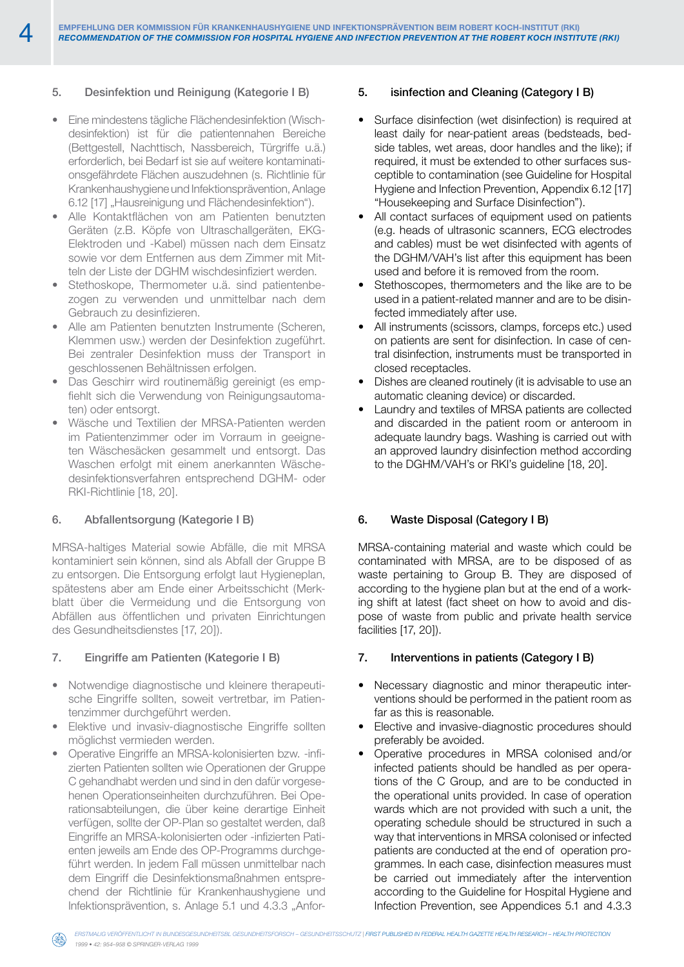# 5. Desinfektion und Reinigung (Kategorie I B)

- • Eine mindestens tägliche Flächendesinfektion (Wischdesinfektion) ist für die patientennahen Bereiche (Bettgestell, Nachttisch, Nassbereich, Türgriffe u.ä.) erforderlich, bei Bedarf ist sie auf weitere kontaminationsgefährdete Flächen auszudehnen (s. Richtlinie für Krankenhaushygiene und Infektionsprävention, Anlage 6.12 [17] "Hausreinigung und Flächendesinfektion").
- Alle Kontaktflächen von am Patienten benutzten Geräten (z.B. Köpfe von Ultraschallgeräten, EKG-Elektroden und -Kabel) müssen nach dem Einsatz sowie vor dem Entfernen aus dem Zimmer mit Mitteln der Liste der DGHM wischdesinfiziert werden.
- Stethoskope, Thermometer u.ä. sind patientenbezogen zu verwenden und unmittelbar nach dem Gebrauch zu desinfizieren.
- Alle am Patienten benutzten Instrumente (Scheren, Klemmen usw.) werden der Desinfektion zugeführt. Bei zentraler Desinfektion muss der Transport in geschlossenen Behältnissen erfolgen.
- • Das Geschirr wird routinemäßig gereinigt (es empfiehlt sich die Verwendung von Reinigungsautomaten) oder entsorgt.
- Wäsche und Textilien der MRSA-Patienten werden im Patientenzimmer oder im Vorraum in geeigneten Wäschesäcken gesammelt und entsorgt. Das Waschen erfolgt mit einem anerkannten Wäschedesinfektionsverfahren entsprechend DGHM- oder RKI-Richtlinie [18, 20].

#### 6. Abfallentsorgung (Kategorie I B)

MRSA-haltiges Material sowie Abfälle, die mit MRSA kontaminiert sein können, sind als Abfall der Gruppe B zu entsorgen. Die Entsorgung erfolgt laut Hygieneplan, spätestens aber am Ende einer Arbeitsschicht (Merkblatt über die Vermeidung und die Entsorgung von Abfällen aus öffentlichen und privaten Einrichtungen des Gesundheitsdienstes [17, 20]).

#### 7. Eingriffe am Patienten (Kategorie I B)

- Notwendige diagnostische und kleinere therapeutische Eingriffe sollten, soweit vertretbar, im Patientenzimmer durchgeführt werden.
- Elektive und invasiv-diagnostische Eingriffe sollten möglichst vermieden werden.
- Operative Eingriffe an MRSA-kolonisierten bzw. -infizierten Patienten sollten wie Operationen der Gruppe C gehandhabt werden und sind in den dafür vorgesehenen Operationseinheiten durchzuführen. Bei Operationsabteilungen, die über keine derartige Einheit verfügen, sollte der OP-Plan so gestaltet werden, daß Eingriffe an MRSA-kolonisierten oder -infizierten Patienten jeweils am Ende des OP-Programms durchgeführt werden. In jedem Fall müssen unmittelbar nach dem Eingriff die Desinfektionsmaßnahmen entsprechend der Richtlinie für Krankenhaushygiene und Infektionsprävention, s. Anlage 5.1 und 4.3.3 "Anfor-

#### 5. isinfection and Cleaning (Category I B)

- Surface disinfection (wet disinfection) is required at least daily for near-patient areas (bedsteads, bedside tables, wet areas, door handles and the like); if required, it must be extended to other surfaces susceptible to contamination (see Guideline for Hospital Hygiene and Infection Prevention, Appendix 6.12 [17] "Housekeeping and Surface Disinfection").
- All contact surfaces of equipment used on patients (e.g. heads of ultrasonic scanners, ECG electrodes and cables) must be wet disinfected with agents of the DGHM/VAH's list after this equipment has been used and before it is removed from the room.
- Stethoscopes, thermometers and the like are to be used in a patient-related manner and are to be disinfected immediately after use.
- • All instruments (scissors, clamps, forceps etc.) used on patients are sent for disinfection. In case of central disinfection, instruments must be transported in closed receptacles.
- • Dishes are cleaned routinely (it is advisable to use an automatic cleaning device) or discarded.
- • Laundry and textiles of MRSA patients are collected and discarded in the patient room or anteroom in adequate laundry bags. Washing is carried out with an approved laundry disinfection method according to the DGHM/VAH's or RKI's guideline [18, 20].

#### 6. Waste Disposal (Category I B)

MRSA-containing material and waste which could be contaminated with MRSA, are to be disposed of as waste pertaining to Group B. They are disposed of according to the hygiene plan but at the end of a working shift at latest (fact sheet on how to avoid and dispose of waste from public and private health service facilities [17, 20]).

#### 7. Interventions in patients (Category I B)

- Necessary diagnostic and minor therapeutic interventions should be performed in the patient room as far as this is reasonable.
- Elective and invasive-diagnostic procedures should preferably be avoided.
- Operative procedures in MRSA colonised and/or infected patients should be handled as per operations of the C Group, and are to be conducted in the operational units provided. In case of operation wards which are not provided with such a unit, the operating schedule should be structured in such a way that interventions in MRSA colonised or infected patients are conducted at the end of operation programmes. In each case, disinfection measures must be carried out immediately after the intervention according to the Guideline for Hospital Hygiene and Infection Prevention, see Appendices 5.1 and 4.3.3

*1999 • 42: 954–958 © Springer-Verlag 1999*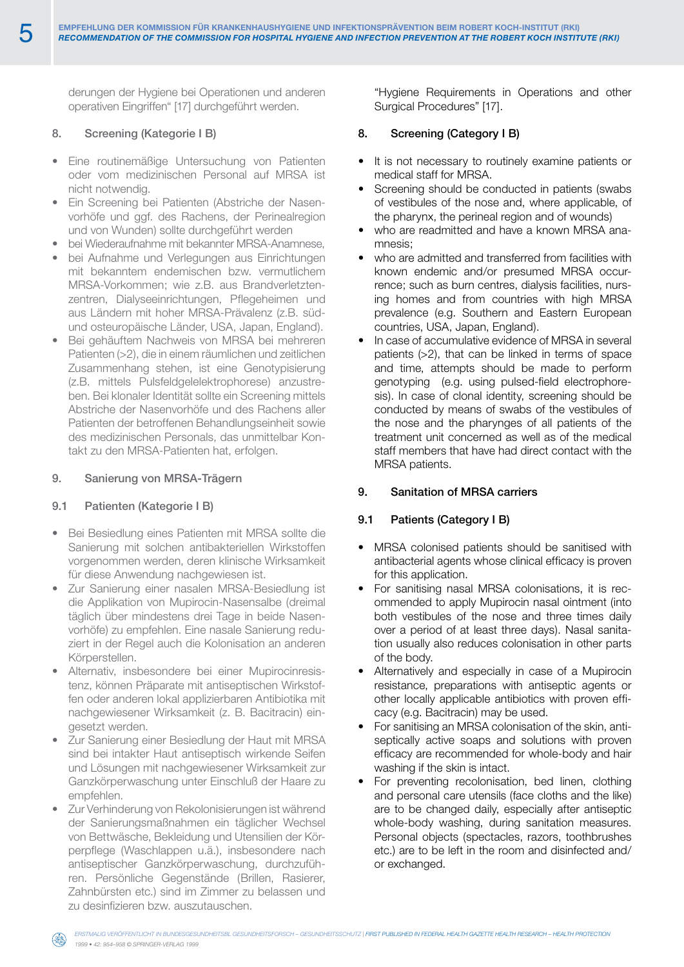derungen der Hygiene bei Operationen und anderen operativen Eingriffen" [17] durchgeführt werden.

## 8. Screening (Kategorie I B)

- • Eine routinemäßige Untersuchung von Patienten oder vom medizinischen Personal auf MRSA ist nicht notwendig.
- Ein Screening bei Patienten (Abstriche der Nasenvorhöfe und ggf. des Rachens, der Perinealregion und von Wunden) sollte durchgeführt werden
- bei Wiederaufnahme mit bekannter MRSA-Anamnese,
- bei Aufnahme und Verlegungen aus Einrichtungen mit bekanntem endemischen bzw. vermutlichem MRSA-Vorkommen; wie z.B. aus Brandverletztenzentren, Dialyseeinrichtungen, Pflegeheimen und aus Ländern mit hoher MRSA-Prävalenz (z.B. südund osteuropäische Länder, USA, Japan, England).
- Bei gehäuftem Nachweis von MRSA bei mehreren Patienten (>2), die in einem räumlichen und zeitlichen Zusammenhang stehen, ist eine Genotypisierung (z.B. mittels Pulsfeldgelelektrophorese) anzustreben. Bei klonaler Identität sollte ein Screening mittels Abstriche der Nasenvorhöfe und des Rachens aller Patienten der betroffenen Behandlungseinheit sowie des medizinischen Personals, das unmittelbar Kontakt zu den MRSA-Patienten hat, erfolgen.

## 9. Sanierung von MRSA-Trägern

## 9.1 Patienten (Kategorie I B)

- • Bei Besiedlung eines Patienten mit MRSA sollte die Sanierung mit solchen antibakteriellen Wirkstoffen vorgenommen werden, deren klinische Wirksamkeit für diese Anwendung nachgewiesen ist.
- Zur Sanierung einer nasalen MRSA-Besiedlung ist die Applikation von Mupirocin-Nasensalbe (dreimal täglich über mindestens drei Tage in beide Nasenvorhöfe) zu empfehlen. Eine nasale Sanierung reduziert in der Regel auch die Kolonisation an anderen Körperstellen.
- Alternativ, insbesondere bei einer Mupirocinresistenz, können Präparate mit antiseptischen Wirkstoffen oder anderen lokal applizierbaren Antibiotika mit nachgewiesener Wirksamkeit (z. B. Bacitracin) eingesetzt werden.
- Zur Sanierung einer Besiedlung der Haut mit MRSA sind bei intakter Haut antiseptisch wirkende Seifen und Lösungen mit nachgewiesener Wirksamkeit zur Ganzkörperwaschung unter Einschluß der Haare zu empfehlen.
- Zur Verhinderung von Rekolonisierungen ist während der Sanierungsmaßnahmen ein täglicher Wechsel von Bettwäsche, Bekleidung und Utensilien der Körperpflege (Waschlappen u.ä.), insbesondere nach antiseptischer Ganzkörperwaschung, durchzuführen. Persönliche Gegenstände (Brillen, Rasierer, Zahnbürsten etc.) sind im Zimmer zu belassen und zu desinfizieren bzw. auszutauschen.

"Hygiene Requirements in Operations and other Surgical Procedures" [17].

## 8. Screening (Category I B)

- It is not necessary to routinely examine patients or medical staff for MRSA.
- Screening should be conducted in patients (swabs of vestibules of the nose and, where applicable, of the pharynx, the perineal region and of wounds)
- who are readmitted and have a known MRSA anamnesis;
- who are admitted and transferred from facilities with known endemic and/or presumed MRSA occurrence; such as burn centres, dialysis facilities, nursing homes and from countries with high MRSA prevalence (e.g. Southern and Eastern European countries, USA, Japan, England).
- In case of accumulative evidence of MRSA in several patients (>2), that can be linked in terms of space and time, attempts should be made to perform genotyping (e.g. using pulsed-field electrophoresis). In case of clonal identity, screening should be conducted by means of swabs of the vestibules of the nose and the pharynges of all patients of the treatment unit concerned as well as of the medical staff members that have had direct contact with the MRSA patients.

# 9. Sanitation of MRSA carriers

## 9.1 Patients (Category I B)

- MRSA colonised patients should be sanitised with antibacterial agents whose clinical efficacy is proven for this application.
- For sanitising nasal MRSA colonisations, it is recommended to apply Mupirocin nasal ointment (into both vestibules of the nose and three times daily over a period of at least three days). Nasal sanitation usually also reduces colonisation in other parts of the body.
- Alternatively and especially in case of a Mupirocin resistance, preparations with antiseptic agents or other locally applicable antibiotics with proven efficacy (e.g. Bacitracin) may be used.
- For sanitising an MRSA colonisation of the skin, antiseptically active soaps and solutions with proven efficacy are recommended for whole-body and hair washing if the skin is intact.
- For preventing recolonisation, bed linen, clothing and personal care utensils (face cloths and the like) are to be changed daily, especially after antiseptic whole-body washing, during sanitation measures. Personal objects (spectacles, razors, toothbrushes etc.) are to be left in the room and disinfected and/ or exchanged.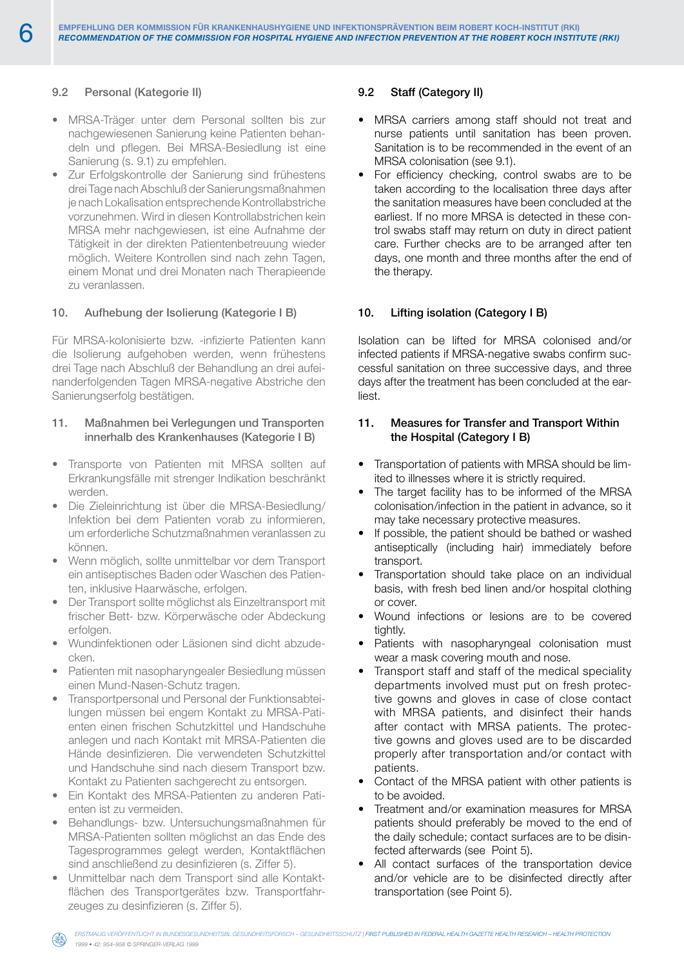## 9.2 Personal (Kategorie II)

- MRSA-Träger unter dem Personal sollten bis zur nachgewiesenen Sanierung keine Patienten behandeln und pflegen. Bei MRSA-Besiedlung ist eine Sanierung (s. 9.1) zu empfehlen.
- • Zur Erfolgskontrolle der Sanierung sind frühestens drei Tage nach Abschluß der Sanierungsmaßnahmen je nach Lokalisation entsprechende Kontrollabstriche vorzunehmen. Wird in diesen Kontrollabstrichen kein MRSA mehr nachgewiesen, ist eine Aufnahme der Tätigkeit in der direkten Patientenbetreuung wieder möglich. Weitere Kontrollen sind nach zehn Tagen, einem Monat und drei Monaten nach Therapieende zu veranlassen.

## 10. Aufhebung der Isolierung (Kategorie I B)

Für MRSA-kolonisierte bzw. -infizierte Patienten kann die Isolierung aufgehoben werden, wenn frühestens drei Tage nach Abschluß der Behandlung an drei aufeinanderfolgenden Tagen MRSA-negative Abstriche den Sanierungserfolg bestätigen.

## 11. Maßnahmen bei Verlegungen und Transporten innerhalb des Krankenhauses (Kategorie I B)

- Transporte von Patienten mit MRSA sollten auf Erkrankungsfälle mit strenger Indikation beschränkt werden.
- Die Zieleinrichtung ist über die MRSA-Besiedlung/ Infektion bei dem Patienten vorab zu informieren, um erforderliche Schutzmaßnahmen veranlassen zu können.
- Wenn möglich, sollte unmittelbar vor dem Transport ein antiseptisches Baden oder Waschen des Patienten, inklusive Haarwäsche, erfolgen.
- Der Transport sollte möglichst als Einzeltransport mit frischer Bett- bzw. Körperwäsche oder Abdeckung erfolgen.
- Wundinfektionen oder Läsionen sind dicht abzudecken.
- Patienten mit nasopharyngealer Besiedlung müssen einen Mund-Nasen-Schutz tragen.
- Transportpersonal und Personal der Funktionsabteilungen müssen bei engem Kontakt zu MRSA-Patienten einen frischen Schutzkittel und Handschuhe anlegen und nach Kontakt mit MRSA-Patienten die Hände desinfizieren. Die verwendeten Schutzkittel und Handschuhe sind nach diesem Transport bzw. Kontakt zu Patienten sachgerecht zu entsorgen.
- Ein Kontakt des MRSA-Patienten zu anderen Patienten ist zu vermeiden.
- Behandlungs- bzw. Untersuchungsmaßnahmen für MRSA-Patienten sollten möglichst an das Ende des Tagesprogrammes gelegt werden, Kontaktflächen sind anschließend zu desinfizieren (s. Ziffer 5).
- Unmittelbar nach dem Transport sind alle Kontaktflächen des Transportgerätes bzw. Transportfahrzeuges zu desinfizieren (s. Ziffer 5).

### 9.2 Staff (Category II)

- MRSA carriers among staff should not treat and nurse patients until sanitation has been proven. Sanitation is to be recommended in the event of an MRSA colonisation (see 9.1).
- For efficiency checking, control swabs are to be taken according to the localisation three days after the sanitation measures have been concluded at the earliest. If no more MRSA is detected in these control swabs staff may return on duty in direct patient care. Further checks are to be arranged after ten days, one month and three months after the end of the therapy.

## 10. Lifting isolation (Category I B)

Isolation can be lifted for MRSA colonised and/or infected patients if MRSA-negative swabs confirm successful sanitation on three successive days, and three days after the treatment has been concluded at the earliest.

## 11. Measures for Transfer and Transport Within the Hospital (Category I B)

- Transportation of patients with MRSA should be limited to illnesses where it is strictly required.
- The target facility has to be informed of the MRSA colonisation/infection in the patient in advance, so it may take necessary protective measures.
- If possible, the patient should be bathed or washed antiseptically (including hair) immediately before transport.
- Transportation should take place on an individual basis, with fresh bed linen and/or hospital clothing or cover.
- • Wound infections or lesions are to be covered tightly.
- • Patients with nasopharyngeal colonisation must wear a mask covering mouth and nose.
- Transport staff and staff of the medical speciality departments involved must put on fresh protective gowns and gloves in case of close contact with MRSA patients, and disinfect their hands after contact with MRSA patients. The protective gowns and gloves used are to be discarded properly after transportation and/or contact with patients.
- Contact of the MRSA patient with other patients is to be avoided.
- Treatment and/or examination measures for MRSA patients should preferably be moved to the end of the daily schedule; contact surfaces are to be disinfected afterwards (see Point 5).
- All contact surfaces of the transportation device and/or vehicle are to be disinfected directly after transportation (see Point 5).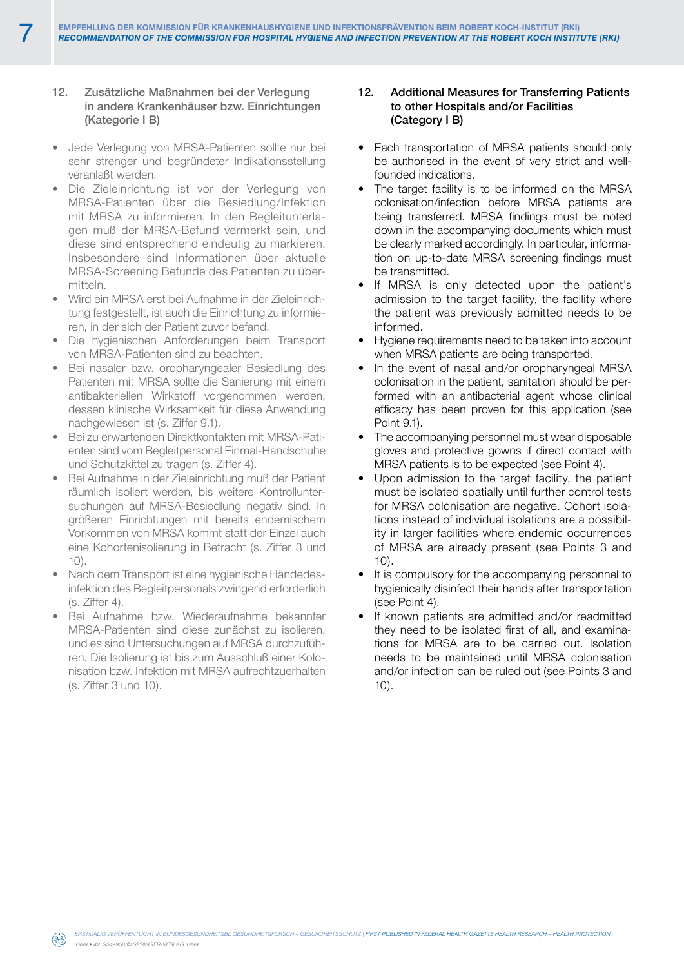## 12. Zusätzliche Maßnahmen bei der Verlegung in andere Krankenhäuser bzw. Einrichtungen (Kategorie I B)

- Jede Verlegung von MRSA-Patienten sollte nur bei sehr strenger und begründeter Indikationsstellung veranlaßt werden.
- • Die Zieleinrichtung ist vor der Verlegung von MRSA-Patienten über die Besiedlung/Infektion mit MRSA zu informieren. In den Begleitunterlagen muß der MRSA-Befund vermerkt sein, und diese sind entsprechend eindeutig zu markieren. Insbesondere sind Informationen über aktuelle MRSA-Screening Befunde des Patienten zu übermitteln.
- Wird ein MRSA erst bei Aufnahme in der Zieleinrichtung festgestellt, ist auch die Einrichtung zu informieren, in der sich der Patient zuvor befand.
- • Die hygienischen Anforderungen beim Transport von MRSA-Patienten sind zu beachten.
- Bei nasaler bzw. oropharyngealer Besiedlung des Patienten mit MRSA sollte die Sanierung mit einem antibakteriellen Wirkstoff vorgenommen werden, dessen klinische Wirksamkeit für diese Anwendung nachgewiesen ist (s. Ziffer 9.1).
- Bei zu erwartenden Direktkontakten mit MRSA-Patienten sind vom Begleitpersonal Einmal-Handschuhe und Schutzkittel zu tragen (s. Ziffer 4).
- Bei Aufnahme in der Zieleinrichtung muß der Patient räumlich isoliert werden, bis weitere Kontrolluntersuchungen auf MRSA-Besiedlung negativ sind. In größeren Einrichtungen mit bereits endemischem Vorkommen von MRSA kommt statt der Einzel auch eine Kohortenisolierung in Betracht (s. Ziffer 3 und  $1()$ .
- Nach dem Transport ist eine hygienische Händedesinfektion des Begleitpersonals zwingend erforderlich (s. Ziffer 4).
- Bei Aufnahme bzw. Wiederaufnahme bekannter MRSA-Patienten sind diese zunächst zu isolieren, und es sind Untersuchungen auf MRSA durchzuführen. Die Isolierung ist bis zum Ausschluß einer Kolonisation bzw. Infektion mit MRSA aufrechtzuerhalten (s. Ziffer 3 und 10).

## 12. Additional Measures for Transferring Patients to other Hospitals and/or Facilities (Category I B)

- Each transportation of MRSA patients should only be authorised in the event of very strict and wellfounded indications.
- The target facility is to be informed on the MRSA colonisation/infection before MRSA patients are being transferred. MRSA findings must be noted down in the accompanying documents which must be clearly marked accordingly. In particular, information on up-to-date MRSA screening findings must be transmitted.
- If MRSA is only detected upon the patient's admission to the target facility, the facility where the patient was previously admitted needs to be informed.
- Hygiene requirements need to be taken into account when MRSA patients are being transported.
- In the event of nasal and/or oropharyngeal MRSA colonisation in the patient, sanitation should be performed with an antibacterial agent whose clinical efficacy has been proven for this application (see Point 9.1).
- The accompanying personnel must wear disposable gloves and protective gowns if direct contact with MRSA patients is to be expected (see Point 4).
- • Upon admission to the target facility, the patient must be isolated spatially until further control tests for MRSA colonisation are negative. Cohort isolations instead of individual isolations are a possibility in larger facilities where endemic occurrences of MRSA are already present (see Points 3 and 10).
- It is compulsory for the accompanying personnel to hygienically disinfect their hands after transportation (see Point 4).
- If known patients are admitted and/or readmitted they need to be isolated first of all, and examinations for MRSA are to be carried out. Isolation needs to be maintained until MRSA colonisation and/or infection can be ruled out (see Points 3 and 10).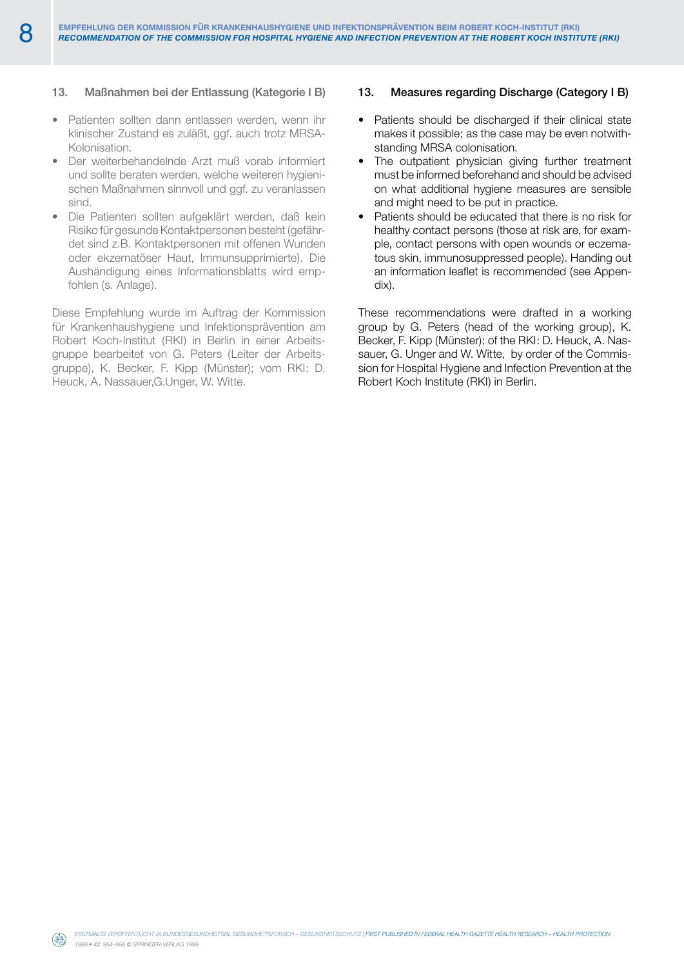## 13. Maßnahmen bei der Entlassung (Kategorie I B)

- Patienten sollten dann entlassen werden, wenn ihr klinischer Zustand es zuläßt, ggf. auch trotz MRSA-Kolonisation.
- Der weiterbehandelnde Arzt muß vorab informiert und sollte beraten werden, welche weiteren hygienischen Maßnahmen sinnvoll und ggf. zu veranlassen sind.
- Die Patienten sollten aufgeklärt werden, daß kein Risiko für gesunde Kontaktpersonen besteht (gefährdet sind z.B. Kontaktpersonen mit offenen Wunden oder ekzematöser Haut, Immunsupprimierte). Die Aushändigung eines Informationsblatts wird empfohlen (s. Anlage).

Diese Empfehlung wurde im Auftrag der Kommission für Krankenhaushygiene und Infektionsprävention am Robert Koch-Institut (RKI) in Berlin in einer Arbeitsgruppe bearbeitet von G. Peters (Leiter der Arbeitsgruppe), K. Becker, F. Kipp (Münster); vom RKI: D. Heuck, A. Nassauer,G.Unger, W. Witte.

#### 13. Measures regarding Discharge (Category I B)

- Patients should be discharged if their clinical state makes it possible; as the case may be even notwithstanding MRSA colonisation.
- The outpatient physician giving further treatment must be informed beforehand and should be advised on what additional hygiene measures are sensible and might need to be put in practice.
- Patients should be educated that there is no risk for healthy contact persons (those at risk are, for example, contact persons with open wounds or eczematous skin, immunosuppressed people). Handing out an information leaflet is recommended (see Appendix).

These recommendations were drafted in a working group by G. Peters (head of the working group), K. Becker, F. Kipp (Münster); of the RKI: D. Heuck, A. Nassauer, G. Unger and W. Witte, by order of the Commission for Hospital Hygiene and Infection Prevention at the Robert Koch Institute (RKI) in Berlin.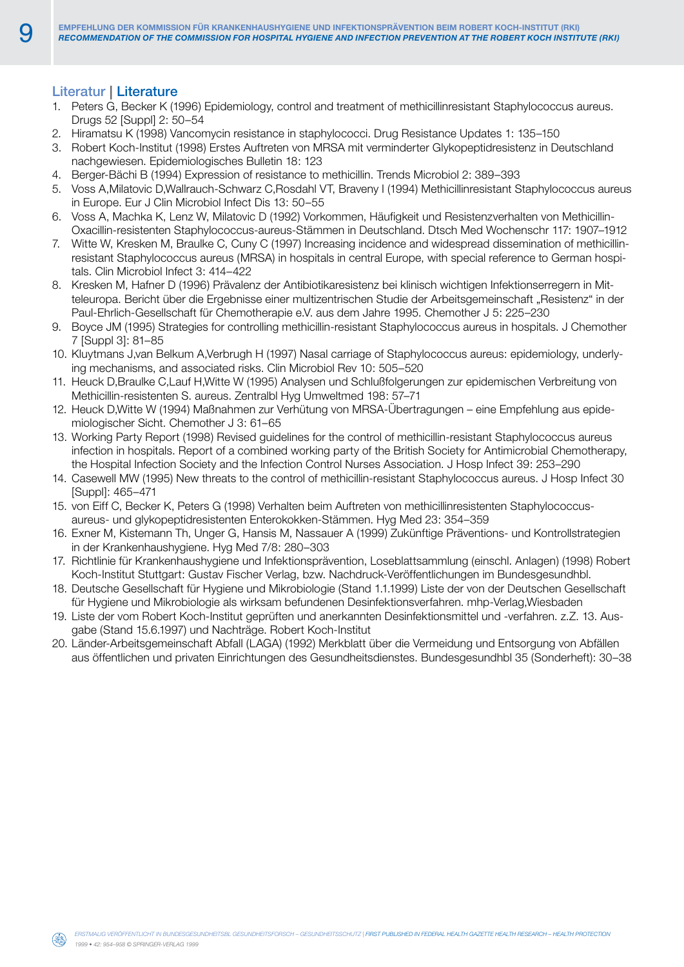# Literatur **|** Literature

- 1. Peters G, Becker K (1996) Epidemiology, control and treatment of methicillinresistant Staphylococcus aureus. Drugs 52 [Suppl] 2: 50–54
- 2. Hiramatsu K (1998) Vancomycin resistance in staphylococci. Drug Resistance Updates 1: 135–150
- 3. Robert Koch-Institut (1998) Erstes Auftreten von MRSA mit verminderter Glykopeptidresistenz in Deutschland nachgewiesen. Epidemiologisches Bulletin 18: 123
- 4. Berger-Bächi B (1994) Expression of resistance to methicillin. Trends Microbiol 2: 389–393
- 5. Voss A,Milatovic D,Wallrauch-Schwarz C,Rosdahl VT, Braveny I (1994) Methicillinresistant Staphylococcus aureus in Europe. Eur J Clin Microbiol Infect Dis 13: 50–55
- 6. Voss A, Machka K, Lenz W, Milatovic D (1992) Vorkommen, Häufigkeit und Resistenzverhalten von Methicillin-Oxacillin-resistenten Staphylococcus-aureus-Stämmen in Deutschland. Dtsch Med Wochenschr 117: 1907–1912
- 7. Witte W, Kresken M, Braulke C, Cuny C (1997) Increasing incidence and widespread dissemination of methicillinresistant Staphylococcus aureus (MRSA) in hospitals in central Europe, with special reference to German hospitals. Clin Microbiol Infect 3: 414–422
- 8. Kresken M, Hafner D (1996) Prävalenz der Antibiotikaresistenz bei klinisch wichtigen Infektionserregern in Mitteleuropa. Bericht über die Ergebnisse einer multizentrischen Studie der Arbeitsgemeinschaft "Resistenz" in der Paul-Ehrlich-Gesellschaft für Chemotherapie e.V. aus dem Jahre 1995. Chemother J 5: 225–230
- 9. Boyce JM (1995) Strategies for controlling methicillin-resistant Staphylococcus aureus in hospitals. J Chemother 7 [Suppl 3]: 81–85
- 10. Kluytmans J,van Belkum A,Verbrugh H (1997) Nasal carriage of Staphylococcus aureus: epidemiology, underlying mechanisms, and associated risks. Clin Microbiol Rev 10: 505–520
- 11. Heuck D,Braulke C,Lauf H,Witte W (1995) Analysen und Schlußfolgerungen zur epidemischen Verbreitung von Methicillin-resistenten S. aureus. Zentralbl Hyg Umweltmed 198: 57–71
- 12. Heuck D,Witte W (1994) Maßnahmen zur Verhütung von MRSA-Übertragungen eine Empfehlung aus epidemiologischer Sicht. Chemother J 3: 61–65
- 13. Working Party Report (1998) Revised guidelines for the control of methicillin-resistant Staphylococcus aureus infection in hospitals. Report of a combined working party of the British Society for Antimicrobial Chemotherapy, the Hospital Infection Society and the Infection Control Nurses Association. J Hosp Infect 39: 253–290
- 14. Casewell MW (1995) New threats to the control of methicillin-resistant Staphylococcus aureus. J Hosp Infect 30 [Suppl]: 465–471
- 15. von Eiff C, Becker K, Peters G (1998) Verhalten beim Auftreten von methicillinresistenten Staphylococcusaureus- und glykopeptidresistenten Enterokokken-Stämmen. Hyg Med 23: 354–359
- 16. Exner M, Kistemann Th, Unger G, Hansis M, Nassauer A (1999) Zukünftige Präventions- und Kontrollstrategien in der Krankenhaushygiene. Hyg Med 7/8: 280–303
- 17. Richtlinie für Krankenhaushygiene und Infektionsprävention, Loseblattsammlung (einschl. Anlagen) (1998) Robert Koch-Institut Stuttgart: Gustav Fischer Verlag, bzw. Nachdruck-Veröffentlichungen im Bundesgesundhbl.
- 18. Deutsche Gesellschaft für Hygiene und Mikrobiologie (Stand 1.1.1999) Liste der von der Deutschen Gesellschaft für Hygiene und Mikrobiologie als wirksam befundenen Desinfektionsverfahren. mhp-Verlag,Wiesbaden
- 19. Liste der vom Robert Koch-Institut geprüften und anerkannten Desinfektionsmittel und -verfahren. z.Z. 13. Ausgabe (Stand 15.6.1997) und Nachträge. Robert Koch-Institut
- 20. Länder-Arbeitsgemeinschaft Abfall (LAGA) (1992) Merkblatt über die Vermeidung und Entsorgung von Abfällen aus öffentlichen und privaten Einrichtungen des Gesundheitsdienstes. Bundesgesundhbl 35 (Sonderheft): 30–38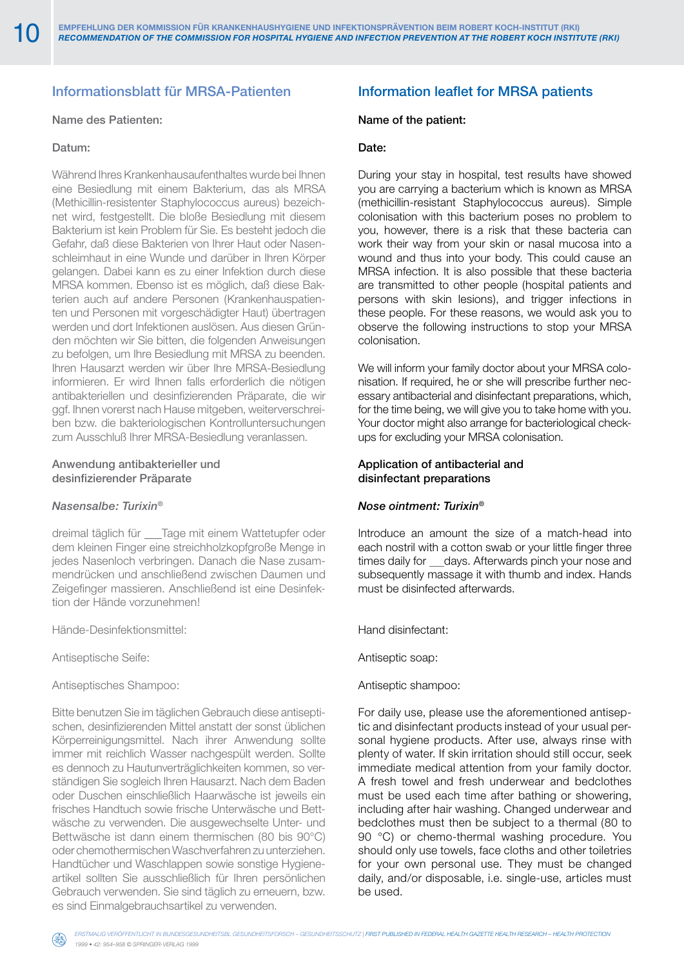# Informationsblatt für MRSA-Patienten

## Name des Patienten:

# Datum:

Während Ihres Krankenhausaufenthaltes wurde bei Ihnen eine Besiedlung mit einem Bakterium, das als MRSA (Methicillin-resistenter Staphylococcus aureus) bezeichnet wird, festgestellt. Die bloße Besiedlung mit diesem Bakterium ist kein Problem für Sie. Es besteht jedoch die Gefahr, daß diese Bakterien von Ihrer Haut oder Nasenschleimhaut in eine Wunde und darüber in Ihren Körper gelangen. Dabei kann es zu einer Infektion durch diese MRSA kommen. Ebenso ist es möglich, daß diese Bakterien auch auf andere Personen (Krankenhauspatienten und Personen mit vorgeschädigter Haut) übertragen werden und dort Infektionen auslösen. Aus diesen Gründen möchten wir Sie bitten, die folgenden Anweisungen zu befolgen, um Ihre Besiedlung mit MRSA zu beenden. Ihren Hausarzt werden wir über Ihre MRSA-Besiedlung informieren. Er wird Ihnen falls erforderlich die nötigen antibakteriellen und desinfizierenden Präparate, die wir ggf. Ihnen vorerst nach Hause mitgeben, weiterverschreiben bzw. die bakteriologischen Kontrolluntersuchungen zum Ausschluß Ihrer MRSA-Besiedlung veranlassen.

### Anwendung antibakterieller und desinfizierender Präparate

#### *Nasensalbe: Turixin®*

dreimal täglich für \_\_\_Tage mit einem Wattetupfer oder dem kleinen Finger eine streichholzkopfgroße Menge in jedes Nasenloch verbringen. Danach die Nase zusammendrücken und anschließend zwischen Daumen und Zeigefinger massieren. Anschließend ist eine Desinfektion der Hände vorzunehmen!

Hände-Desinfektionsmittel:

Antiseptische Seife:

Antiseptisches Shampoo:

Bitte benutzen Sie im täglichen Gebrauch diese antiseptischen, desinfizierenden Mittel anstatt der sonst üblichen Körperreinigungsmittel. Nach ihrer Anwendung sollte immer mit reichlich Wasser nachgespült werden. Sollte es dennoch zu Hautunverträglichkeiten kommen, so verständigen Sie sogleich Ihren Hausarzt. Nach dem Baden oder Duschen einschließlich Haarwäsche ist jeweils ein frisches Handtuch sowie frische Unterwäsche und Bettwäsche zu verwenden. Die ausgewechselte Unter- und Bettwäsche ist dann einem thermischen (80 bis 90°C) oder chemothermischen Waschverfahren zu unterziehen. Handtücher und Waschlappen sowie sonstige Hygieneartikel sollten Sie ausschließlich für Ihren persönlichen Gebrauch verwenden. Sie sind täglich zu erneuern, bzw. es sind Einmalgebrauchsartikel zu verwenden.

# Information leaflet for MRSA patients

#### Name of the patient:

#### Date:

During your stay in hospital, test results have showed you are carrying a bacterium which is known as MRSA (methicillin-resistant Staphylococcus aureus). Simple colonisation with this bacterium poses no problem to you, however, there is a risk that these bacteria can work their way from your skin or nasal mucosa into a wound and thus into your body. This could cause an MRSA infection. It is also possible that these bacteria are transmitted to other people (hospital patients and persons with skin lesions), and trigger infections in these people. For these reasons, we would ask you to observe the following instructions to stop your MRSA colonisation.

We will inform your family doctor about your MRSA colonisation. If required, he or she will prescribe further necessary antibacterial and disinfectant preparations, which, for the time being, we will give you to take home with you. Your doctor might also arrange for bacteriological checkups for excluding your MRSA colonisation.

### Application of antibacterial and disinfectant preparations

#### *Nose ointment: Turixin®*

Introduce an amount the size of a match-head into each nostril with a cotton swab or your little finger three times daily for \_\_days. Afterwards pinch your nose and subsequently massage it with thumb and index. Hands must be disinfected afterwards.

Hand disinfectant:

Antiseptic soap:

#### Antiseptic shampoo:

For daily use, please use the aforementioned antiseptic and disinfectant products instead of your usual personal hygiene products. After use, always rinse with plenty of water. If skin irritation should still occur, seek immediate medical attention from your family doctor. A fresh towel and fresh underwear and bedclothes must be used each time after bathing or showering, including after hair washing. Changed underwear and bedclothes must then be subject to a thermal (80 to 90 °C) or chemo-thermal washing procedure. You should only use towels, face cloths and other toiletries for your own personal use. They must be changed daily, and/or disposable, i.e. single-use, articles must be used.